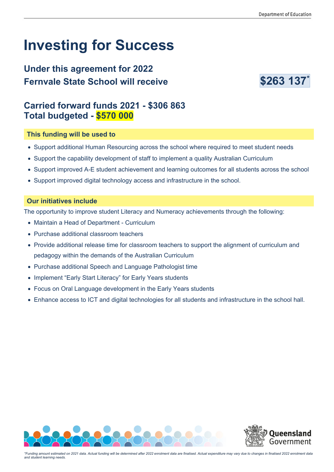# **Investing for Success**

## **Under this agreement for 2022 Fernvale State School will receive Manual S263 137\***



### **Carried forward funds 2021 - \$306 863 Total budgeted - \$570 000**

#### **This funding will be used to**

- Support additional Human Resourcing across the school where required to meet student needs
- Support the capability development of staff to implement a quality Australian Curriculum
- Support improved A-E student achievement and learning outcomes for all students across the school
- Support improved digital technology access and infrastructure in the school.

#### **Our initiatives include**

The opportunity to improve student Literacy and Numeracy achievements through the following:

- Maintain a Head of Department Curriculum
- Purchase additional classroom teachers
- Provide additional release time for classroom teachers to support the alignment of curriculum and pedagogy within the demands of the Australian Curriculum
- Purchase additional Speech and Language Pathologist time
- Implement "Early Start Literacy" for Early Years students
- Focus on Oral Language development in the Early Years students
- Enhance access to ICT and digital technologies for all students and infrastructure in the school hall.